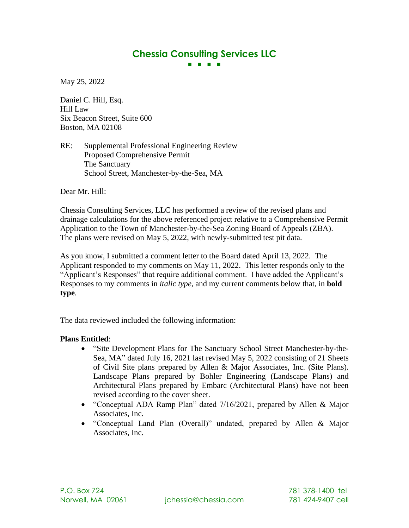# **Chessia Consulting Services LLC ■ ■ ■ ■**

May 25, 2022

Daniel C. Hill, Esq. Hill Law Six Beacon Street, Suite 600 Boston, MA 02108

RE: Supplemental Professional Engineering Review Proposed Comprehensive Permit The Sanctuary School Street, Manchester-by-the-Sea, MA

Dear Mr. Hill:

Chessia Consulting Services, LLC has performed a review of the revised plans and drainage calculations for the above referenced project relative to a Comprehensive Permit Application to the Town of Manchester-by-the-Sea Zoning Board of Appeals (ZBA). The plans were revised on May 5, 2022, with newly-submitted test pit data.

As you know, I submitted a comment letter to the Board dated April 13, 2022. The Applicant responded to my comments on May 11, 2022. This letter responds only to the "Applicant's Responses" that require additional comment. I have added the Applicant's Responses to my comments in *italic type*, and my current comments below that, in **bold type***.* 

The data reviewed included the following information:

#### **Plans Entitled**:

- "Site Development Plans for The Sanctuary School Street Manchester-by-the-Sea, MA" dated July 16, 2021 last revised May 5, 2022 consisting of 21 Sheets of Civil Site plans prepared by Allen & Major Associates, Inc. (Site Plans). Landscape Plans prepared by Bohler Engineering (Landscape Plans) and Architectural Plans prepared by Embarc (Architectural Plans) have not been revised according to the cover sheet.
- "Conceptual ADA Ramp Plan" dated 7/16/2021, prepared by Allen & Major Associates, Inc.
- "Conceptual Land Plan (Overall)" undated, prepared by Allen & Major Associates, Inc.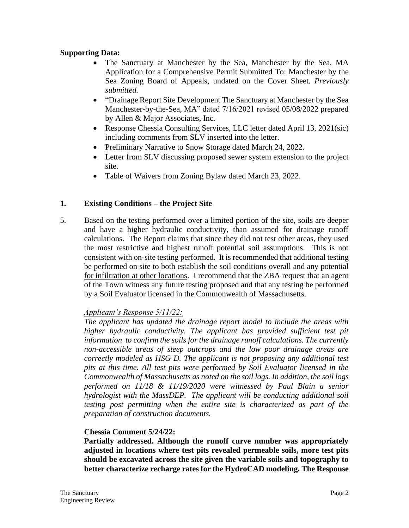## **Supporting Data:**

- The Sanctuary at Manchester by the Sea, Manchester by the Sea, MA Application for a Comprehensive Permit Submitted To: Manchester by the Sea Zoning Board of Appeals, undated on the Cover Sheet. *Previously submitted.*
- "Drainage Report Site Development The Sanctuary at Manchester by the Sea Manchester-by-the-Sea, MA" dated 7/16/2021 revised 05/08/2022 prepared by Allen & Major Associates, Inc.
- Response Chessia Consulting Services, LLC letter dated April 13, 2021(sic) including comments from SLV inserted into the letter.
- Preliminary Narrative to Snow Storage dated March 24, 2022.
- Letter from SLV discussing proposed sewer system extension to the project site.
- Table of Waivers from Zoning Bylaw dated March 23, 2022.

#### **1. Existing Conditions – the Project Site**

5. Based on the testing performed over a limited portion of the site, soils are deeper and have a higher hydraulic conductivity, than assumed for drainage runoff calculations. The Report claims that since they did not test other areas, they used the most restrictive and highest runoff potential soil assumptions. This is not consistent with on-site testing performed. It is recommended that additional testing be performed on site to both establish the soil conditions overall and any potential for infiltration at other locations. I recommend that the ZBA request that an agent of the Town witness any future testing proposed and that any testing be performed by a Soil Evaluator licensed in the Commonwealth of Massachusetts.

#### *Applicant's Response 5/11/22:*

*The applicant has updated the drainage report model to include the areas with*  higher hydraulic conductivity. The applicant has provided sufficient test pit *information to confirm the soils for the drainage runoff calculations. The currently non-accessible areas of steep outcrops and the low poor drainage areas are correctly modeled as HSG D. The applicant is not proposing any additional test pits at this time. All test pits were performed by Soil Evaluator licensed in the Commonwealth of Massachusetts as noted on the soil logs. In addition, the soil logs performed on 11/18 & 11/19/2020 were witnessed by Paul Blain a senior hydrologist with the MassDEP. The applicant will be conducting additional soil testing post permitting when the entire site is characterized as part of the preparation of construction documents.* 

#### **Chessia Comment 5/24/22:**

**Partially addressed. Although the runoff curve number was appropriately adjusted in locations where test pits revealed permeable soils, more test pits should be excavated across the site given the variable soils and topography to better characterize recharge rates for the HydroCAD modeling. The Response**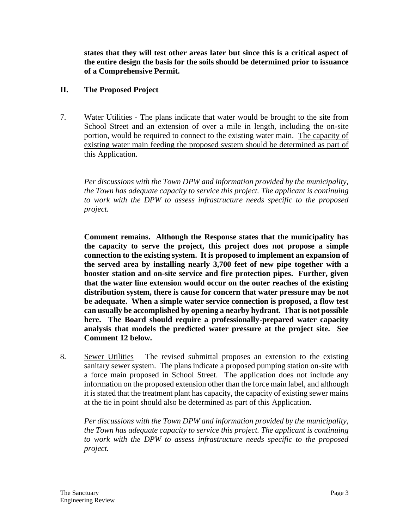**states that they will test other areas later but since this is a critical aspect of the entire design the basis for the soils should be determined prior to issuance of a Comprehensive Permit.** 

# **II. The Proposed Project**

7. Water Utilities - The plans indicate that water would be brought to the site from School Street and an extension of over a mile in length, including the on-site portion, would be required to connect to the existing water main. The capacity of existing water main feeding the proposed system should be determined as part of this Application.

*Per discussions with the Town DPW and information provided by the municipality, the Town has adequate capacity to service this project. The applicant is continuing to work with the DPW to assess infrastructure needs specific to the proposed project.* 

**Comment remains. Although the Response states that the municipality has the capacity to serve the project, this project does not propose a simple connection to the existing system. It is proposed to implement an expansion of the served area by installing nearly 3,700 feet of new pipe together with a booster station and on-site service and fire protection pipes. Further, given that the water line extension would occur on the outer reaches of the existing distribution system, there is cause for concern that water pressure may be not be adequate. When a simple water service connection is proposed, a flow test can usually be accomplished by opening a nearby hydrant. That is not possible here. The Board should require a professionally-prepared water capacity analysis that models the predicted water pressure at the project site. See Comment 12 below.**

8. Sewer Utilities – The revised submittal proposes an extension to the existing sanitary sewer system. The plans indicate a proposed pumping station on-site with a force main proposed in School Street. The application does not include any information on the proposed extension other than the force main label, and although it is stated that the treatment plant has capacity, the capacity of existing sewer mains at the tie in point should also be determined as part of this Application.

*Per discussions with the Town DPW and information provided by the municipality, the Town has adequate capacity to service this project. The applicant is continuing to work with the DPW to assess infrastructure needs specific to the proposed project.*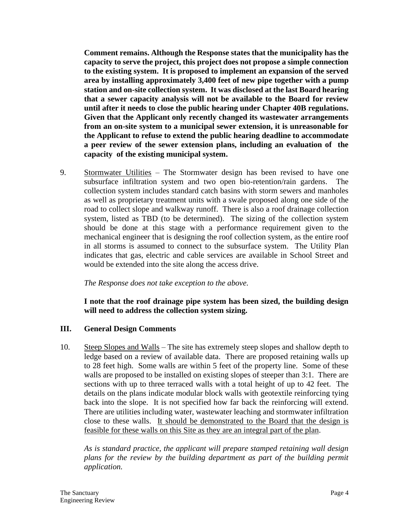**Comment remains. Although the Response states that the municipality has the capacity to serve the project, this project does not propose a simple connection to the existing system. It is proposed to implement an expansion of the served area by installing approximately 3,400 feet of new pipe together with a pump station and on-site collection system. It was disclosed at the last Board hearing that a sewer capacity analysis will not be available to the Board for review until after it needs to close the public hearing under Chapter 40B regulations. Given that the Applicant only recently changed its wastewater arrangements from an on-site system to a municipal sewer extension, it is unreasonable for the Applicant to refuse to extend the public hearing deadline to accommodate a peer review of the sewer extension plans, including an evaluation of the capacity of the existing municipal system.**

9. Stormwater Utilities – The Stormwater design has been revised to have one subsurface infiltration system and two open bio-retention/rain gardens. The collection system includes standard catch basins with storm sewers and manholes as well as proprietary treatment units with a swale proposed along one side of the road to collect slope and walkway runoff. There is also a roof drainage collection system, listed as TBD (to be determined). The sizing of the collection system should be done at this stage with a performance requirement given to the mechanical engineer that is designing the roof collection system, as the entire roof in all storms is assumed to connect to the subsurface system. The Utility Plan indicates that gas, electric and cable services are available in School Street and would be extended into the site along the access drive.

# *The Response does not take exception to the above.*

**I note that the roof drainage pipe system has been sized, the building design will need to address the collection system sizing.**

#### **III. General Design Comments**

10. Steep Slopes and Walls – The site has extremely steep slopes and shallow depth to ledge based on a review of available data. There are proposed retaining walls up to 28 feet high. Some walls are within 5 feet of the property line. Some of these walls are proposed to be installed on existing slopes of steeper than 3:1. There are sections with up to three terraced walls with a total height of up to 42 feet. The details on the plans indicate modular block walls with geotextile reinforcing tying back into the slope. It is not specified how far back the reinforcing will extend. There are utilities including water, wastewater leaching and stormwater infiltration close to these walls. It should be demonstrated to the Board that the design is feasible for these walls on this Site as they are an integral part of the plan.

*As is standard practice, the applicant will prepare stamped retaining wall design plans for the review by the building department as part of the building permit application.*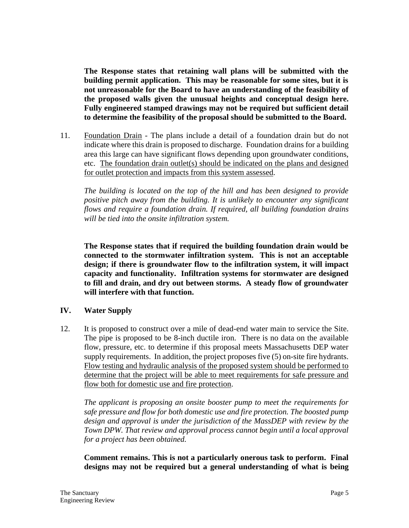**The Response states that retaining wall plans will be submitted with the building permit application. This may be reasonable for some sites, but it is not unreasonable for the Board to have an understanding of the feasibility of the proposed walls given the unusual heights and conceptual design here. Fully engineered stamped drawings may not be required but sufficient detail to determine the feasibility of the proposal should be submitted to the Board.**

11. Foundation Drain - The plans include a detail of a foundation drain but do not indicate where this drain is proposed to discharge. Foundation drains for a building area this large can have significant flows depending upon groundwater conditions, etc. The foundation drain outlet(s) should be indicated on the plans and designed for outlet protection and impacts from this system assessed.

*The building is located on the top of the hill and has been designed to provide positive pitch away from the building. It is unlikely to encounter any significant flows and require a foundation drain. If required, all building foundation drains will be tied into the onsite infiltration system.*

**The Response states that if required the building foundation drain would be connected to the stormwater infiltration system. This is not an acceptable design; if there is groundwater flow to the infiltration system, it will impact capacity and functionality. Infiltration systems for stormwater are designed to fill and drain, and dry out between storms. A steady flow of groundwater will interfere with that function.**

# **IV. Water Supply**

12. It is proposed to construct over a mile of dead-end water main to service the Site. The pipe is proposed to be 8-inch ductile iron. There is no data on the available flow, pressure, etc. to determine if this proposal meets Massachusetts DEP water supply requirements. In addition, the project proposes five (5) on-site fire hydrants. Flow testing and hydraulic analysis of the proposed system should be performed to determine that the project will be able to meet requirements for safe pressure and flow both for domestic use and fire protection.

*The applicant is proposing an onsite booster pump to meet the requirements for safe pressure and flow for both domestic use and fire protection. The boosted pump design and approval is under the jurisdiction of the MassDEP with review by the Town DPW. That review and approval process cannot begin until a local approval for a project has been obtained.*

**Comment remains. This is not a particularly onerous task to perform. Final designs may not be required but a general understanding of what is being**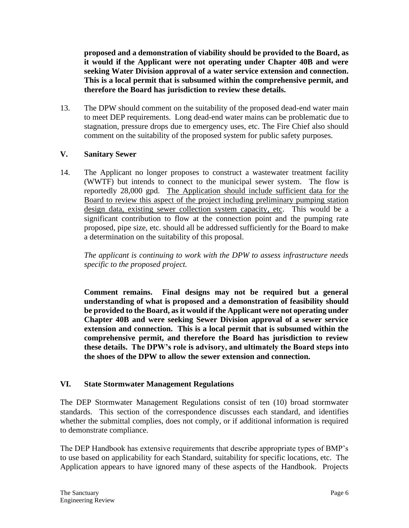**proposed and a demonstration of viability should be provided to the Board, as it would if the Applicant were not operating under Chapter 40B and were seeking Water Division approval of a water service extension and connection. This is a local permit that is subsumed within the comprehensive permit, and therefore the Board has jurisdiction to review these details.**

13. The DPW should comment on the suitability of the proposed dead-end water main to meet DEP requirements. Long dead-end water mains can be problematic due to stagnation, pressure drops due to emergency uses, etc. The Fire Chief also should comment on the suitability of the proposed system for public safety purposes.

# **V. Sanitary Sewer**

14. The Applicant no longer proposes to construct a wastewater treatment facility (WWTF) but intends to connect to the municipal sewer system. The flow is reportedly 28,000 gpd. The Application should include sufficient data for the Board to review this aspect of the project including preliminary pumping station design data, existing sewer collection system capacity, etc. This would be a significant contribution to flow at the connection point and the pumping rate proposed, pipe size, etc. should all be addressed sufficiently for the Board to make a determination on the suitability of this proposal.

*The applicant is continuing to work with the DPW to assess infrastructure needs specific to the proposed project.* 

**Comment remains. Final designs may not be required but a general understanding of what is proposed and a demonstration of feasibility should be provided to the Board, as it would if the Applicant were not operating under Chapter 40B and were seeking Sewer Division approval of a sewer service extension and connection. This is a local permit that is subsumed within the comprehensive permit, and therefore the Board has jurisdiction to review these details. The DPW's role is advisory, and ultimately the Board steps into the shoes of the DPW to allow the sewer extension and connection.**

# **VI. State Stormwater Management Regulations**

The DEP Stormwater Management Regulations consist of ten (10) broad stormwater standards. This section of the correspondence discusses each standard, and identifies whether the submittal complies, does not comply, or if additional information is required to demonstrate compliance.

The DEP Handbook has extensive requirements that describe appropriate types of BMP's to use based on applicability for each Standard, suitability for specific locations, etc. The Application appears to have ignored many of these aspects of the Handbook. Projects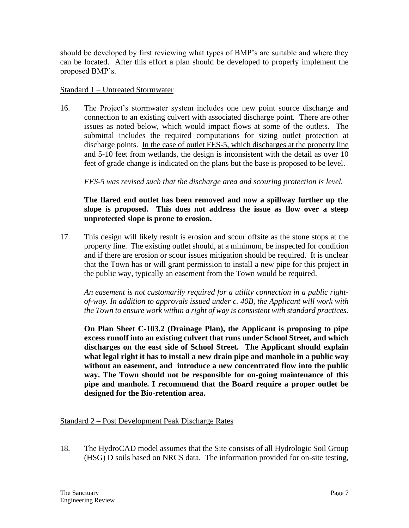should be developed by first reviewing what types of BMP's are suitable and where they can be located. After this effort a plan should be developed to properly implement the proposed BMP's.

#### Standard 1 – Untreated Stormwater

16. The Project's stormwater system includes one new point source discharge and connection to an existing culvert with associated discharge point. There are other issues as noted below, which would impact flows at some of the outlets. The submittal includes the required computations for sizing outlet protection at discharge points. In the case of outlet FES-5, which discharges at the property line and 5-10 feet from wetlands, the design is inconsistent with the detail as over 10 feet of grade change is indicated on the plans but the base is proposed to be level.

*FES-5 was revised such that the discharge area and scouring protection is level.*

# **The flared end outlet has been removed and now a spillway further up the slope is proposed. This does not address the issue as flow over a steep unprotected slope is prone to erosion.**

17. This design will likely result is erosion and scour offsite as the stone stops at the property line. The existing outlet should, at a minimum, be inspected for condition and if there are erosion or scour issues mitigation should be required. It is unclear that the Town has or will grant permission to install a new pipe for this project in the public way, typically an easement from the Town would be required.

*An easement is not customarily required for a utility connection in a public rightof-way. In addition to approvals issued under c. 40B, the Applicant will work with the Town to ensure work within a right of way is consistent with standard practices.*

**On Plan Sheet C-103.2 (Drainage Plan), the Applicant is proposing to pipe excess runoff into an existing culvert that runs under School Street, and which discharges on the east side of School Street. The Applicant should explain what legal right it has to install a new drain pipe and manhole in a public way without an easement, and introduce a new concentrated flow into the public way. The Town should not be responsible for on-going maintenance of this pipe and manhole. I recommend that the Board require a proper outlet be designed for the Bio-retention area.** 

# Standard 2 – Post Development Peak Discharge Rates

18. The HydroCAD model assumes that the Site consists of all Hydrologic Soil Group (HSG) D soils based on NRCS data. The information provided for on-site testing,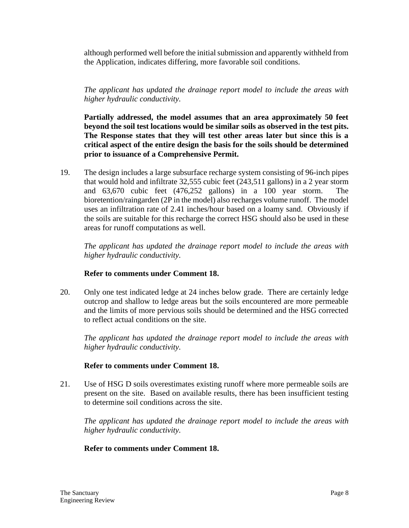although performed well before the initial submission and apparently withheld from the Application, indicates differing, more favorable soil conditions.

*The applicant has updated the drainage report model to include the areas with higher hydraulic conductivity.* 

**Partially addressed, the model assumes that an area approximately 50 feet beyond the soil test locations would be similar soils as observed in the test pits. The Response states that they will test other areas later but since this is a critical aspect of the entire design the basis for the soils should be determined prior to issuance of a Comprehensive Permit.** 

19. The design includes a large subsurface recharge system consisting of 96-inch pipes that would hold and infiltrate 32,555 cubic feet (243,511 gallons) in a 2 year storm and 63,670 cubic feet (476,252 gallons) in a 100 year storm. The bioretention/raingarden (2P in the model) also recharges volume runoff. The model uses an infiltration rate of 2.41 inches/hour based on a loamy sand. Obviously if the soils are suitable for this recharge the correct HSG should also be used in these areas for runoff computations as well.

*The applicant has updated the drainage report model to include the areas with higher hydraulic conductivity.* 

# **Refer to comments under Comment 18.**

20. Only one test indicated ledge at 24 inches below grade. There are certainly ledge outcrop and shallow to ledge areas but the soils encountered are more permeable and the limits of more pervious soils should be determined and the HSG corrected to reflect actual conditions on the site.

*The applicant has updated the drainage report model to include the areas with higher hydraulic conductivity.* 

# **Refer to comments under Comment 18.**

21. Use of HSG D soils overestimates existing runoff where more permeable soils are present on the site. Based on available results, there has been insufficient testing to determine soil conditions across the site.

*The applicant has updated the drainage report model to include the areas with higher hydraulic conductivity.* 

# **Refer to comments under Comment 18.**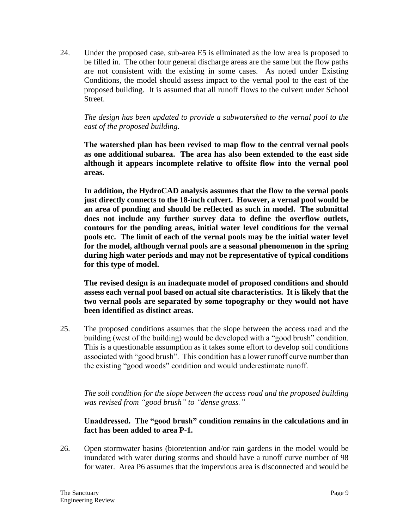24. Under the proposed case, sub-area E5 is eliminated as the low area is proposed to be filled in. The other four general discharge areas are the same but the flow paths are not consistent with the existing in some cases. As noted under Existing Conditions, the model should assess impact to the vernal pool to the east of the proposed building. It is assumed that all runoff flows to the culvert under School Street.

# *The design has been updated to provide a subwatershed to the vernal pool to the east of the proposed building.*

**The watershed plan has been revised to map flow to the central vernal pools as one additional subarea. The area has also been extended to the east side although it appears incomplete relative to offsite flow into the vernal pool areas.** 

**In addition, the HydroCAD analysis assumes that the flow to the vernal pools just directly connects to the 18-inch culvert. However, a vernal pool would be an area of ponding and should be reflected as such in model. The submittal does not include any further survey data to define the overflow outlets, contours for the ponding areas, initial water level conditions for the vernal pools etc. The limit of each of the vernal pools may be the initial water level for the model, although vernal pools are a seasonal phenomenon in the spring during high water periods and may not be representative of typical conditions for this type of model.** 

**The revised design is an inadequate model of proposed conditions and should assess each vernal pool based on actual site characteristics. It is likely that the two vernal pools are separated by some topography or they would not have been identified as distinct areas.** 

25. The proposed conditions assumes that the slope between the access road and the building (west of the building) would be developed with a "good brush" condition. This is a questionable assumption as it takes some effort to develop soil conditions associated with "good brush". This condition has a lower runoff curve number than the existing "good woods" condition and would underestimate runoff.

*The soil condition for the slope between the access road and the proposed building was revised from "good brush" to "dense grass."* 

# **Unaddressed. The "good brush" condition remains in the calculations and in fact has been added to area P-1.**

26. Open stormwater basins (bioretention and/or rain gardens in the model would be inundated with water during storms and should have a runoff curve number of 98 for water. Area P6 assumes that the impervious area is disconnected and would be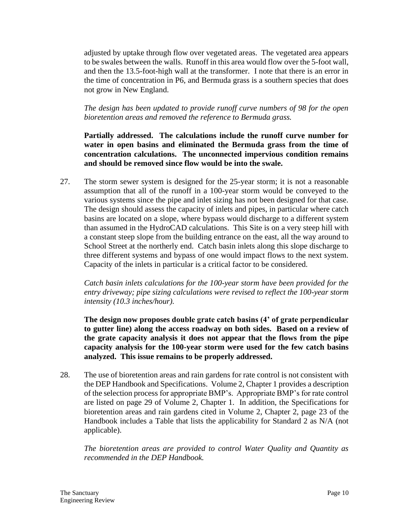adjusted by uptake through flow over vegetated areas. The vegetated area appears to be swales between the walls. Runoff in this area would flow over the 5-foot wall, and then the 13.5-foot-high wall at the transformer. I note that there is an error in the time of concentration in P6, and Bermuda grass is a southern species that does not grow in New England.

*The design has been updated to provide runoff curve numbers of 98 for the open bioretention areas and removed the reference to Bermuda grass.*

**Partially addressed. The calculations include the runoff curve number for water in open basins and eliminated the Bermuda grass from the time of concentration calculations. The unconnected impervious condition remains and should be removed since flow would be into the swale.**

27. The storm sewer system is designed for the 25-year storm; it is not a reasonable assumption that all of the runoff in a 100-year storm would be conveyed to the various systems since the pipe and inlet sizing has not been designed for that case. The design should assess the capacity of inlets and pipes, in particular where catch basins are located on a slope, where bypass would discharge to a different system than assumed in the HydroCAD calculations. This Site is on a very steep hill with a constant steep slope from the building entrance on the east, all the way around to School Street at the northerly end. Catch basin inlets along this slope discharge to three different systems and bypass of one would impact flows to the next system. Capacity of the inlets in particular is a critical factor to be considered.

*Catch basin inlets calculations for the 100-year storm have been provided for the entry driveway; pipe sizing calculations were revised to reflect the 100-year storm intensity (10.3 inches/hour).* 

**The design now proposes double grate catch basins (4' of grate perpendicular to gutter line) along the access roadway on both sides. Based on a review of the grate capacity analysis it does not appear that the flows from the pipe capacity analysis for the 100-year storm were used for the few catch basins analyzed. This issue remains to be properly addressed.**

28. The use of bioretention areas and rain gardens for rate control is not consistent with the DEP Handbook and Specifications. Volume 2, Chapter 1 provides a description of the selection process for appropriate BMP's. Appropriate BMP's for rate control are listed on page 29 of Volume 2, Chapter 1. In addition, the Specifications for bioretention areas and rain gardens cited in Volume 2, Chapter 2, page 23 of the Handbook includes a Table that lists the applicability for Standard 2 as N/A (not applicable).

*The bioretention areas are provided to control Water Quality and Quantity as recommended in the DEP Handbook.*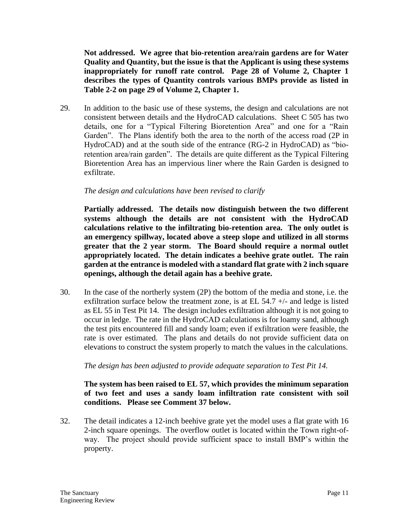**Not addressed. We agree that bio-retention area/rain gardens are for Water Quality and Quantity, but the issue is that the Applicant is using these systems inappropriately for runoff rate control. Page 28 of Volume 2, Chapter 1 describes the types of Quantity controls various BMPs provide as listed in Table 2-2 on page 29 of Volume 2, Chapter 1.** 

29. In addition to the basic use of these systems, the design and calculations are not consistent between details and the HydroCAD calculations. Sheet C 505 has two details, one for a "Typical Filtering Bioretention Area" and one for a "Rain Garden". The Plans identify both the area to the north of the access road (2P in HydroCAD) and at the south side of the entrance (RG-2 in HydroCAD) as "bioretention area/rain garden". The details are quite different as the Typical Filtering Bioretention Area has an impervious liner where the Rain Garden is designed to exfiltrate.

#### *The design and calculations have been revised to clarify*

**Partially addressed. The details now distinguish between the two different systems although the details are not consistent with the HydroCAD calculations relative to the infiltrating bio-retention area. The only outlet is an emergency spillway, located above a steep slope and utilized in all storms greater that the 2 year storm. The Board should require a normal outlet appropriately located. The detain indicates a beehive grate outlet. The rain garden at the entrance is modeled with a standard flat grate with 2 inch square openings, although the detail again has a beehive grate.**

30. In the case of the northerly system (2P) the bottom of the media and stone, i.e. the exfiltration surface below the treatment zone, is at EL  $54.7 +/-$  and ledge is listed as EL 55 in Test Pit 14. The design includes exfiltration although it is not going to occur in ledge. The rate in the HydroCAD calculations is for loamy sand, although the test pits encountered fill and sandy loam; even if exfiltration were feasible, the rate is over estimated. The plans and details do not provide sufficient data on elevations to construct the system properly to match the values in the calculations.

#### *The design has been adjusted to provide adequate separation to Test Pit 14.*

#### **The system has been raised to EL 57, which provides the minimum separation of two feet and uses a sandy loam infiltration rate consistent with soil conditions. Please see Comment 37 below.**

32. The detail indicates a 12-inch beehive grate yet the model uses a flat grate with 16 2-inch square openings. The overflow outlet is located within the Town right-ofway. The project should provide sufficient space to install BMP's within the property.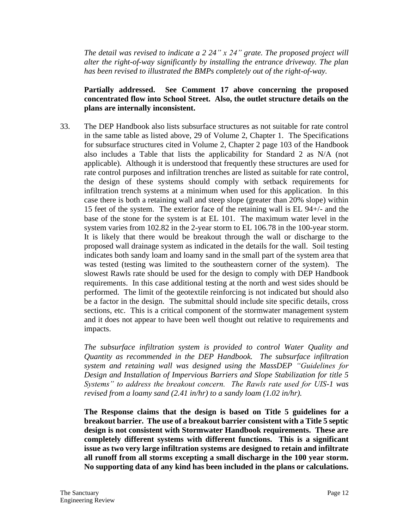*The detail was revised to indicate a 2 24" x 24" grate. The proposed project will alter the right-of-way significantly by installing the entrance driveway. The plan has been revised to illustrated the BMPs completely out of the right-of-way.*

# **Partially addressed. See Comment 17 above concerning the proposed concentrated flow into School Street. Also, the outlet structure details on the plans are internally inconsistent.**

33. The DEP Handbook also lists subsurface structures as not suitable for rate control in the same table as listed above, 29 of Volume 2, Chapter 1. The Specifications for subsurface structures cited in Volume 2, Chapter 2 page 103 of the Handbook also includes a Table that lists the applicability for Standard 2 as N/A (not applicable). Although it is understood that frequently these structures are used for rate control purposes and infiltration trenches are listed as suitable for rate control, the design of these systems should comply with setback requirements for infiltration trench systems at a minimum when used for this application. In this case there is both a retaining wall and steep slope (greater than 20% slope) within 15 feet of the system. The exterior face of the retaining wall is EL 94+/- and the base of the stone for the system is at EL 101. The maximum water level in the system varies from 102.82 in the 2-year storm to EL 106.78 in the 100-year storm. It is likely that there would be breakout through the wall or discharge to the proposed wall drainage system as indicated in the details for the wall. Soil testing indicates both sandy loam and loamy sand in the small part of the system area that was tested (testing was limited to the southeastern corner of the system). The slowest Rawls rate should be used for the design to comply with DEP Handbook requirements. In this case additional testing at the north and west sides should be performed. The limit of the geotextile reinforcing is not indicated but should also be a factor in the design. The submittal should include site specific details, cross sections, etc. This is a critical component of the stormwater management system and it does not appear to have been well thought out relative to requirements and impacts.

*The subsurface infiltration system is provided to control Water Quality and Quantity as recommended in the DEP Handbook. The subsurface infiltration system and retaining wall was designed using the MassDEP "Guidelines for Design and Installation of Impervious Barriers and Slope Stabilization for title 5 Systems" to address the breakout concern. The Rawls rate used for UIS-1 was revised from a loamy sand (2.41 in/hr) to a sandy loam (1.02 in/hr).*

**The Response claims that the design is based on Title 5 guidelines for a breakout barrier. The use of a breakout barrier consistent with a Title 5 septic design is not consistent with Stormwater Handbook requirements. These are completely different systems with different functions. This is a significant issue as two very large infiltration systems are designed to retain and infiltrate all runoff from all storms excepting a small discharge in the 100 year storm. No supporting data of any kind has been included in the plans or calculations.**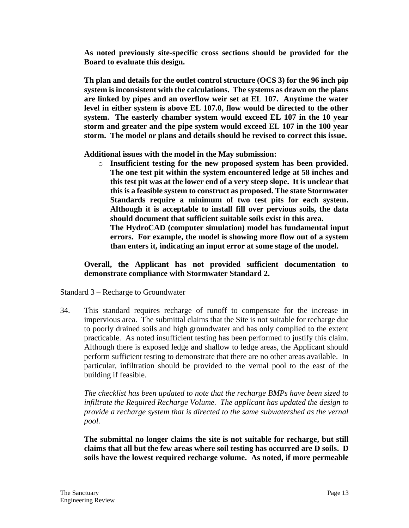**As noted previously site-specific cross sections should be provided for the Board to evaluate this design.**

**Th plan and details for the outlet control structure (OCS 3) for the 96 inch pip system is inconsistent with the calculations. The systems as drawn on the plans are linked by pipes and an overflow weir set at EL 107. Anytime the water level in either system is above EL 107.0, flow would be directed to the other system. The easterly chamber system would exceed EL 107 in the 10 year storm and greater and the pipe system would exceed EL 107 in the 100 year storm. The model or plans and details should be revised to correct this issue.** 

**Additional issues with the model in the May submission:**

o **Insufficient testing for the new proposed system has been provided. The one test pit within the system encountered ledge at 58 inches and this test pit was at the lower end of a very steep slope. It is unclear that this is a feasible system to construct as proposed. The state Stormwater Standards require a minimum of two test pits for each system. Although it is acceptable to install fill over pervious soils, the data should document that sufficient suitable soils exist in this area.**

**The HydroCAD (computer simulation) model has fundamental input errors. For example, the model is showing more flow out of a system than enters it, indicating an input error at some stage of the model.** 

**Overall, the Applicant has not provided sufficient documentation to demonstrate compliance with Stormwater Standard 2.**

# Standard 3 – Recharge to Groundwater

34. This standard requires recharge of runoff to compensate for the increase in impervious area. The submittal claims that the Site is not suitable for recharge due to poorly drained soils and high groundwater and has only complied to the extent practicable. As noted insufficient testing has been performed to justify this claim. Although there is exposed ledge and shallow to ledge areas, the Applicant should perform sufficient testing to demonstrate that there are no other areas available. In particular, infiltration should be provided to the vernal pool to the east of the building if feasible.

*The checklist has been updated to note that the recharge BMPs have been sized to infiltrate the Required Recharge Volume. The applicant has updated the design to provide a recharge system that is directed to the same subwatershed as the vernal pool.* 

**The submittal no longer claims the site is not suitable for recharge, but still claims that all but the few areas where soil testing has occurred are D soils. D soils have the lowest required recharge volume. As noted, if more permeable**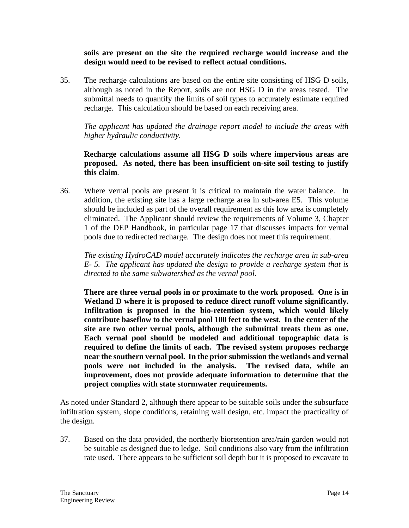**soils are present on the site the required recharge would increase and the design would need to be revised to reflect actual conditions.** 

35. The recharge calculations are based on the entire site consisting of HSG D soils, although as noted in the Report, soils are not HSG D in the areas tested. The submittal needs to quantify the limits of soil types to accurately estimate required recharge. This calculation should be based on each receiving area.

*The applicant has updated the drainage report model to include the areas with higher hydraulic conductivity.* 

**Recharge calculations assume all HSG D soils where impervious areas are proposed. As noted, there has been insufficient on-site soil testing to justify this claim***.*

36. Where vernal pools are present it is critical to maintain the water balance. In addition, the existing site has a large recharge area in sub-area E5. This volume should be included as part of the overall requirement as this low area is completely eliminated. The Applicant should review the requirements of Volume 3, Chapter 1 of the DEP Handbook, in particular page 17 that discusses impacts for vernal pools due to redirected recharge. The design does not meet this requirement.

*The existing HydroCAD model accurately indicates the recharge area in sub-area E- 5. The applicant has updated the design to provide a recharge system that is directed to the same subwatershed as the vernal pool.*

**There are three vernal pools in or proximate to the work proposed. One is in Wetland D where it is proposed to reduce direct runoff volume significantly. Infiltration is proposed in the bio-retention system, which would likely contribute baseflow to the vernal pool 100 feet to the west. In the center of the site are two other vernal pools, although the submittal treats them as one. Each vernal pool should be modeled and additional topographic data is required to define the limits of each. The revised system proposes recharge near the southern vernal pool. In the prior submission the wetlands and vernal pools were not included in the analysis. The revised data, while an improvement, does not provide adequate information to determine that the project complies with state stormwater requirements.**

As noted under Standard 2, although there appear to be suitable soils under the subsurface infiltration system, slope conditions, retaining wall design, etc. impact the practicality of the design.

37. Based on the data provided, the northerly bioretention area/rain garden would not be suitable as designed due to ledge. Soil conditions also vary from the infiltration rate used. There appears to be sufficient soil depth but it is proposed to excavate to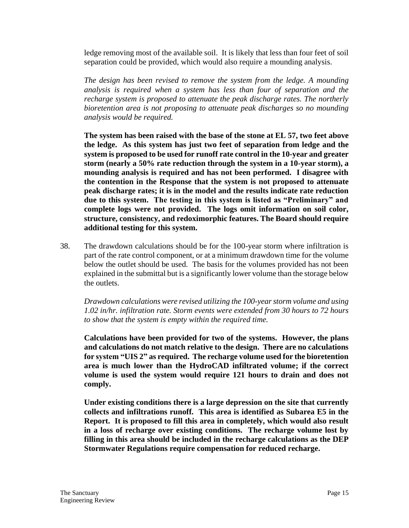ledge removing most of the available soil. It is likely that less than four feet of soil separation could be provided, which would also require a mounding analysis.

*The design has been revised to remove the system from the ledge. A mounding analysis is required when a system has less than four of separation and the recharge system is proposed to attenuate the peak discharge rates. The northerly bioretention area is not proposing to attenuate peak discharges so no mounding analysis would be required.* 

**The system has been raised with the base of the stone at EL 57, two feet above the ledge. As this system has just two feet of separation from ledge and the system is proposed to be used for runoff rate control in the 10-year and greater storm (nearly a 50% rate reduction through the system in a 10-year storm), a mounding analysis is required and has not been performed. I disagree with the contention in the Response that the system is not proposed to attenuate peak discharge rates; it is in the model and the results indicate rate reduction due to this system. The testing in this system is listed as "Preliminary" and complete logs were not provided. The logs omit information on soil color, structure, consistency, and redoximorphic features. The Board should require additional testing for this system.**

38. The drawdown calculations should be for the 100-year storm where infiltration is part of the rate control component, or at a minimum drawdown time for the volume below the outlet should be used. The basis for the volumes provided has not been explained in the submittal but is a significantly lower volume than the storage below the outlets.

*Drawdown calculations were revised utilizing the 100-year storm volume and using 1.02 in/hr. infiltration rate. Storm events were extended from 30 hours to 72 hours to show that the system is empty within the required time.* 

**Calculations have been provided for two of the systems. However, the plans and calculations do not match relative to the design. There are no calculations for system "UIS 2" as required. The recharge volume used for the bioretention area is much lower than the HydroCAD infiltrated volume; if the correct volume is used the system would require 121 hours to drain and does not comply.**

**Under existing conditions there is a large depression on the site that currently collects and infiltrations runoff. This area is identified as Subarea E5 in the Report. It is proposed to fill this area in completely, which would also result in a loss of recharge over existing conditions. The recharge volume lost by filling in this area should be included in the recharge calculations as the DEP Stormwater Regulations require compensation for reduced recharge.**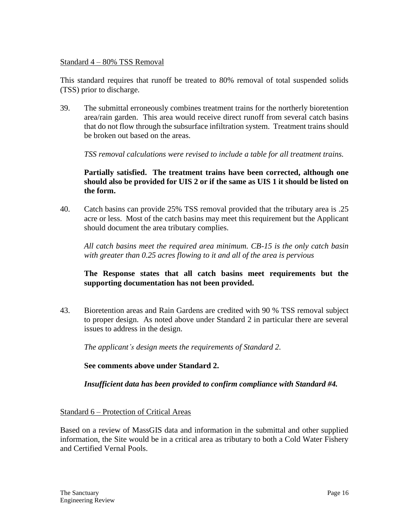#### Standard 4 – 80% TSS Removal

This standard requires that runoff be treated to 80% removal of total suspended solids (TSS) prior to discharge.

39. The submittal erroneously combines treatment trains for the northerly bioretention area/rain garden. This area would receive direct runoff from several catch basins that do not flow through the subsurface infiltration system. Treatment trains should be broken out based on the areas.

*TSS removal calculations were revised to include a table for all treatment trains.*

# **Partially satisfied. The treatment trains have been corrected, although one should also be provided for UIS 2 or if the same as UIS 1 it should be listed on the form.**

40. Catch basins can provide 25% TSS removal provided that the tributary area is .25 acre or less. Most of the catch basins may meet this requirement but the Applicant should document the area tributary complies.

*All catch basins meet the required area minimum. CB-15 is the only catch basin with greater than 0.25 acres flowing to it and all of the area is pervious* 

#### **The Response states that all catch basins meet requirements but the supporting documentation has not been provided.**

43. Bioretention areas and Rain Gardens are credited with 90 % TSS removal subject to proper design. As noted above under Standard 2 in particular there are several issues to address in the design.

*The applicant's design meets the requirements of Standard 2.*

#### **See comments above under Standard 2.**

*Insufficient data has been provided to confirm compliance with Standard #4.*

#### Standard 6 – Protection of Critical Areas

Based on a review of MassGIS data and information in the submittal and other supplied information, the Site would be in a critical area as tributary to both a Cold Water Fishery and Certified Vernal Pools.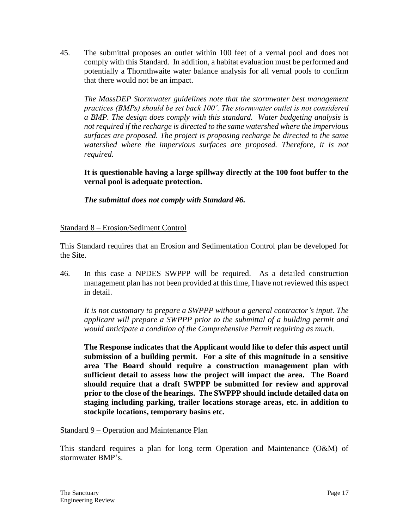45. The submittal proposes an outlet within 100 feet of a vernal pool and does not comply with this Standard. In addition, a habitat evaluation must be performed and potentially a Thornthwaite water balance analysis for all vernal pools to confirm that there would not be an impact.

*The MassDEP Stormwater guidelines note that the stormwater best management practices (BMPs) should be set back 100'. The stormwater outlet is not considered a BMP. The design does comply with this standard. Water budgeting analysis is not required if the recharge is directed to the same watershed where the impervious surfaces are proposed. The project is proposing recharge be directed to the same*  watershed where the impervious surfaces are proposed. Therefore, it is not *required.* 

**It is questionable having a large spillway directly at the 100 foot buffer to the vernal pool is adequate protection.** 

*The submittal does not comply with Standard #6.*

# Standard 8 – Erosion/Sediment Control

This Standard requires that an Erosion and Sedimentation Control plan be developed for the Site.

46. In this case a NPDES SWPPP will be required. As a detailed construction management plan has not been provided at this time, I have not reviewed this aspect in detail.

*It is not customary to prepare a SWPPP without a general contractor's input. The applicant will prepare a SWPPP prior to the submittal of a building permit and would anticipate a condition of the Comprehensive Permit requiring as much.* 

**The Response indicates that the Applicant would like to defer this aspect until submission of a building permit. For a site of this magnitude in a sensitive area The Board should require a construction management plan with sufficient detail to assess how the project will impact the area. The Board should require that a draft SWPPP be submitted for review and approval prior to the close of the hearings. The SWPPP should include detailed data on staging including parking, trailer locations storage areas, etc. in addition to stockpile locations, temporary basins etc.** 

Standard 9 – Operation and Maintenance Plan

This standard requires a plan for long term Operation and Maintenance (O&M) of stormwater BMP's.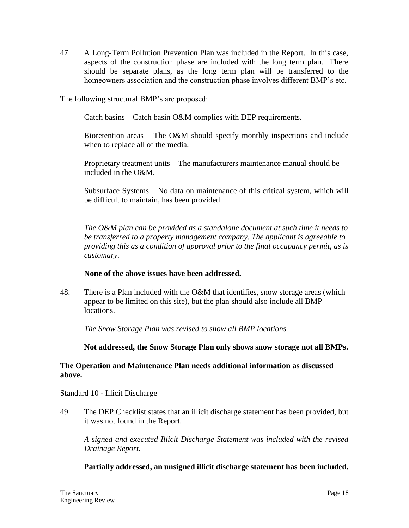47. A Long-Term Pollution Prevention Plan was included in the Report. In this case, aspects of the construction phase are included with the long term plan. There should be separate plans, as the long term plan will be transferred to the homeowners association and the construction phase involves different BMP's etc.

The following structural BMP's are proposed:

Catch basins – Catch basin O&M complies with DEP requirements.

Bioretention areas – The O&M should specify monthly inspections and include when to replace all of the media.

Proprietary treatment units – The manufacturers maintenance manual should be included in the O&M.

Subsurface Systems – No data on maintenance of this critical system, which will be difficult to maintain, has been provided.

*The O&M plan can be provided as a standalone document at such time it needs to be transferred to a property management company. The applicant is agreeable to providing this as a condition of approval prior to the final occupancy permit, as is customary.* 

#### **None of the above issues have been addressed.**

48. There is a Plan included with the O&M that identifies, snow storage areas (which appear to be limited on this site), but the plan should also include all BMP locations.

*The Snow Storage Plan was revised to show all BMP locations.*

**Not addressed, the Snow Storage Plan only shows snow storage not all BMPs.**

#### **The Operation and Maintenance Plan needs additional information as discussed above.**

#### Standard 10 - Illicit Discharge

49. The DEP Checklist states that an illicit discharge statement has been provided, but it was not found in the Report.

*A signed and executed Illicit Discharge Statement was included with the revised Drainage Report.* 

# **Partially addressed, an unsigned illicit discharge statement has been included.**